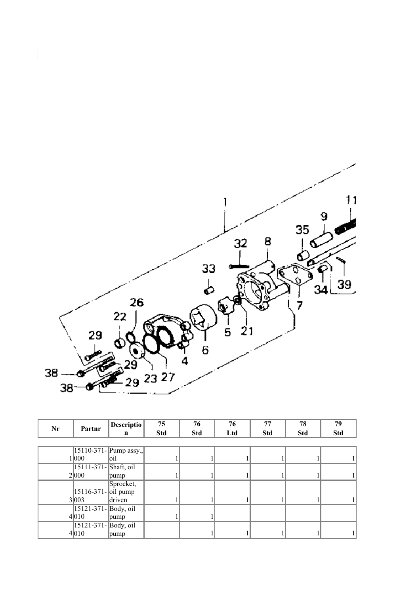

| Nr | Partnr                            | <b>Descriptio</b>         | 75         | 76         | 76  | 77         | 78         | 79         |
|----|-----------------------------------|---------------------------|------------|------------|-----|------------|------------|------------|
|    |                                   | n                         | <b>Std</b> | <b>Std</b> | Ltd | <b>Std</b> | <b>Std</b> | <b>Std</b> |
|    |                                   |                           |            |            |     |            |            |            |
|    |                                   | $ 15110-371-$ Pump assy., |            |            |     |            |            |            |
|    | 1 000                             | oil                       |            |            |     |            |            |            |
|    | 15111-371-Shaft, oil              |                           |            |            |     |            |            |            |
|    | 2 000                             | pump                      |            |            |     |            |            |            |
|    |                                   | Sprocket,                 |            |            |     |            |            |            |
|    | $ 15116 - 371 - \text{oil pump} $ |                           |            |            |     |            |            |            |
|    | 3 0 0 3                           | driven                    |            |            |     |            |            |            |
|    | $15121 - 371 - Body$ , oil        |                           |            |            |     |            |            |            |
|    | 4 010                             | pump                      |            |            |     |            |            |            |
|    | 15121-371- Body, oil              |                           |            |            |     |            |            |            |
|    | 4 010                             | pump                      |            |            |     |            |            |            |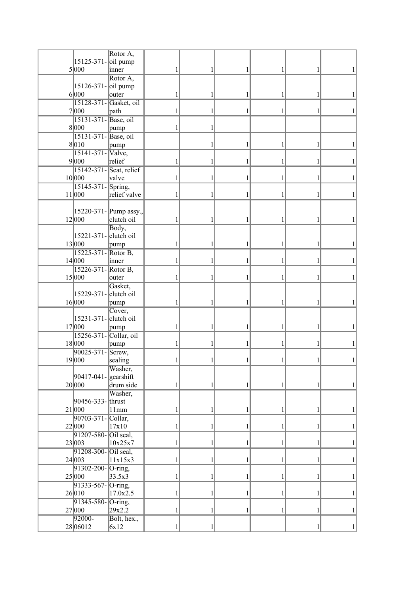|                        | Rotor A,               |   |   |   |   |              |
|------------------------|------------------------|---|---|---|---|--------------|
| 15125-371-             | oil pump               |   |   |   |   |              |
| 5 000                  | inner                  | 1 |   | 1 |   |              |
|                        | Rotor A,               |   |   |   |   |              |
| 15126-371- oil pump    |                        |   |   |   |   |              |
| 6 000                  | outer                  |   |   |   |   |              |
|                        |                        |   |   |   |   |              |
| 15128-371- Gasket, oil |                        |   |   |   |   |              |
| 7 000                  | path                   |   |   | 1 | 1 |              |
| 15131-371-Base, oil    |                        |   |   |   |   |              |
| 8000                   | pump                   |   |   |   |   |              |
| 15131-371-Base, oil    |                        |   |   |   |   |              |
| 8010                   | pump                   |   | 1 | 1 | 1 | 1            |
| 15141-371- Valve,      |                        |   |   |   |   |              |
| 9 000                  | relief                 | 1 |   | 1 | 1 | 1            |
| 15142-371-Seat, relief |                        |   |   |   |   |              |
| 10000                  | valve                  | 1 | 1 | 1 | 1 | 1            |
|                        |                        |   |   |   |   |              |
| 15145-371-Spring,      |                        |   |   |   |   |              |
| 11 000                 | relief valve           | 1 | 1 | 1 | 1 | 1            |
|                        |                        |   |   |   |   |              |
|                        | 15220-371- Pump assy., |   |   |   |   |              |
| 12 000                 | clutch oil             | 1 |   | 1 | 1 | 1            |
|                        | Body,                  |   |   |   |   |              |
| 15221-371-             | clutch oil             |   |   |   |   |              |
| 13 000                 | pump                   |   |   |   |   |              |
| $15225 - 371 -$        | Rotor B,               |   |   |   |   |              |
| 14 000                 | inner                  | 1 |   |   | 1 | 1            |
|                        |                        |   |   |   |   |              |
| $15226 - 371 -$        | $Rootor B$ ,           |   |   |   |   |              |
| 15 000                 | outer                  | 1 | 1 | 1 | 1 | 1            |
|                        | Gasket,                |   |   |   |   |              |
| 15229-371-             | clutch oil             |   |   |   |   |              |
| 16000                  | pump                   | 1 |   | 1 |   | 1            |
|                        | Cover,                 |   |   |   |   |              |
| 15231-371-             | clutch oil             |   |   |   |   |              |
| 17000                  | pump                   |   |   |   |   | 1            |
| 15256-371- Collar, oil |                        |   |   |   |   |              |
| 18000                  | pump                   |   |   |   | 1 | $\mathbf{1}$ |
| 90025-371-Screw,       |                        |   |   |   |   |              |
| 19000                  | sealing                |   |   |   |   | $\,1$        |
|                        |                        |   |   |   |   |              |
|                        | Washer,                |   |   |   |   |              |
| 90417-041-             | gearshift              |   |   |   |   |              |
| 20 000                 | drum side              | 1 |   | 1 | 1 | 1            |
|                        | Washer,                |   |   |   |   |              |
| 90456-333- thrust      |                        |   |   |   |   |              |
| 21 000                 | 11mm                   |   |   |   |   |              |
| 90703-371- Collar,     |                        |   |   |   |   |              |
| 22 000                 | 17x10                  |   |   |   | 1 | 1            |
| 91207-580- Oil seal,   |                        |   |   |   |   |              |
| 23 003                 | 10x25x7                |   |   |   | 1 | $\mathbf{1}$ |
| 91208-300- Oil seal,   |                        |   |   |   |   |              |
| 24 003                 | 11x15x3                | 1 |   |   | 1 | $\mathbf 1$  |
|                        |                        |   |   |   |   |              |
| 91302-200- O-ring,     |                        |   |   |   |   |              |
| 25 000                 | 33.5x3                 | 1 |   |   | 1 | $\mathbf 1$  |
| 91333-567- O-ring,     |                        |   |   |   |   |              |
| 26 010                 | 17.0x2.5               | 1 |   | 1 | 1 | $\mathbf 1$  |
| 91345-580- O-ring,     |                        |   |   |   |   |              |
| 27 000                 | 29x2.2                 | 1 |   |   | 1 | $\mathbf{1}$ |
| 92000-                 | Bolt, hex.,            |   |   |   |   |              |
| 28 06012               | 6x12                   | 1 |   |   | 1 | $\mathbf{1}$ |
|                        |                        |   |   |   |   |              |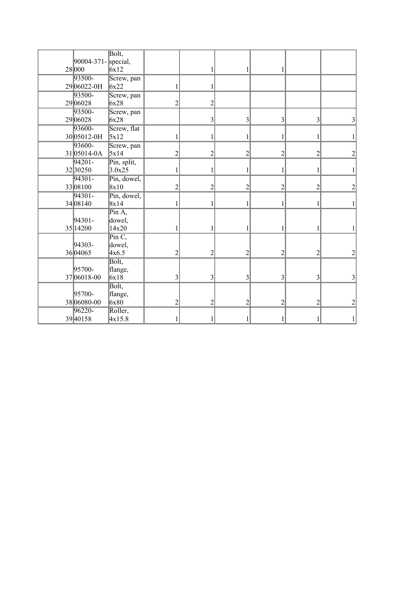|               | Bolt,                       |                |                |   |                |                |                              |
|---------------|-----------------------------|----------------|----------------|---|----------------|----------------|------------------------------|
| 90004-371-    | special,                    |                |                |   |                |                |                              |
| 28 000        | 6x12                        |                |                |   |                |                |                              |
| 93500-        | Screw, pan                  |                |                |   |                |                |                              |
| 29 06022-0H   | 6x22                        |                |                |   |                |                |                              |
| 93500-        | Screw, pan                  |                |                |   |                |                |                              |
| 29 06028      | 6x28                        | $\overline{2}$ | $\overline{2}$ |   |                |                |                              |
| 93500-        | Screw, pan                  |                |                |   |                |                |                              |
| 29 06028      | 6x28                        |                | 3              | 3 | 3              | 3              | $\frac{3}{2}$                |
| 93600-        | Screw, flat                 |                |                |   |                |                |                              |
| 30 05012-0H   | 5x12                        |                |                |   |                |                |                              |
| 93600-        | Screw, pan                  |                |                |   |                |                |                              |
| $31 05014-0A$ | 5x14                        | 2              | 2              | 2 | $\overline{c}$ | $\mathfrak{D}$ | $\overline{2}$               |
| $94201 -$     | Pin, split,                 |                |                |   |                |                |                              |
| 32 30250      | 3.0x25                      |                |                |   |                |                |                              |
| $94301 -$     | Pin, dowel,                 |                |                |   |                |                |                              |
| 3308100       | 8x10                        | $\overline{2}$ | 2              | 2 | 2              |                | $\overline{2}$               |
| $94301 -$     | Pin, dowel,                 |                |                |   |                |                |                              |
| 34 08 140     | 8x14                        |                |                |   |                |                |                              |
|               | $\overline{\text{Pin A}}$ , |                |                |   |                |                |                              |
| 94301-        | dowel,                      |                |                |   |                |                |                              |
| 35 14200      | 14x20                       | 1              |                |   |                |                |                              |
|               | $\overline{\text{Pin }C}$   |                |                |   |                |                |                              |
| 94303-        | dowel,                      |                |                |   |                |                |                              |
| 36 040 65     | 4x6.5                       | $\overline{2}$ | 2              | 2 | $\overline{2}$ | $\overline{c}$ | $\overline{2}$               |
|               | Bolt,                       |                |                |   |                |                |                              |
| 95700-        | flange,                     |                |                |   |                |                |                              |
| 37 06018-00   | 6x18                        | 3              | 3              | 3 | $\overline{3}$ | 3              | $\left  \frac{3}{2} \right $ |
|               | Bolt,                       |                |                |   |                |                |                              |
| 95700-        | flange,                     |                |                |   |                |                |                              |
| 38 06080-00   | 6x80                        | 2              | $\overline{c}$ | 2 | $\overline{c}$ |                | $\overline{2}$               |
| 96220-        | Roller,                     |                |                |   |                |                |                              |
| 3940158       | 4x15.8                      |                |                |   |                |                | $1\vert$                     |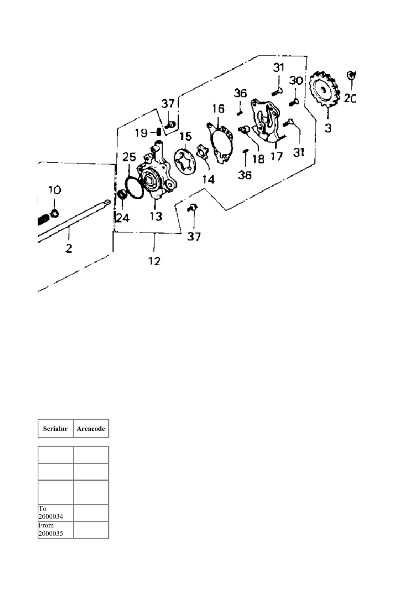

| <b>Serialnr</b> | Areacode |
|-----------------|----------|
|                 |          |
|                 |          |
|                 |          |
|                 |          |
|                 |          |
| To<br>2000034   |          |
| From<br>2000035 |          |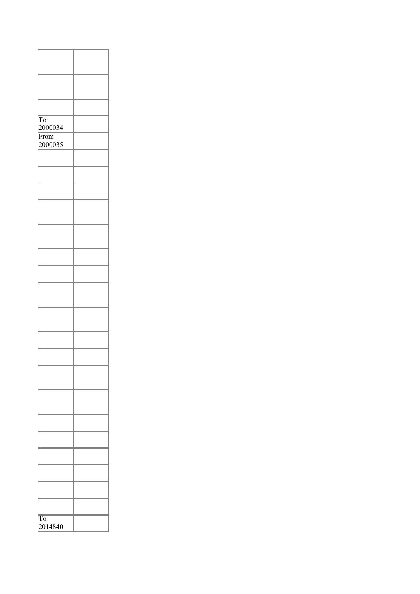| $\overline{\text{To}}$            |  |
|-----------------------------------|--|
| $\frac{2000034}{\text{From}}$     |  |
| 2000035                           |  |
|                                   |  |
|                                   |  |
|                                   |  |
|                                   |  |
|                                   |  |
|                                   |  |
|                                   |  |
|                                   |  |
|                                   |  |
|                                   |  |
|                                   |  |
|                                   |  |
|                                   |  |
|                                   |  |
|                                   |  |
|                                   |  |
|                                   |  |
|                                   |  |
|                                   |  |
| $\overline{\text{To}}$<br>2014840 |  |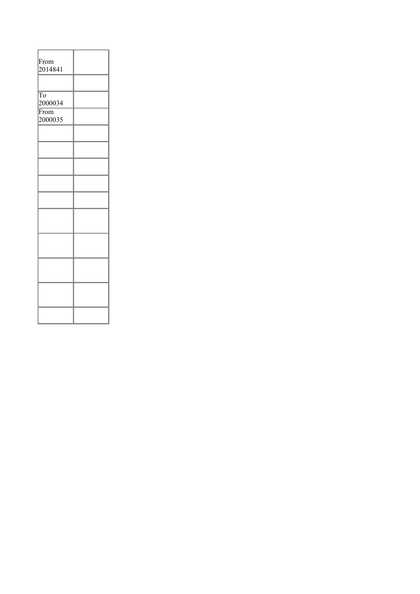| From<br>2014841 |  |
|-----------------|--|
|                 |  |
| To<br>2000034   |  |
| From<br>2000035 |  |
|                 |  |
|                 |  |
|                 |  |
|                 |  |
|                 |  |
|                 |  |
|                 |  |
|                 |  |
|                 |  |
|                 |  |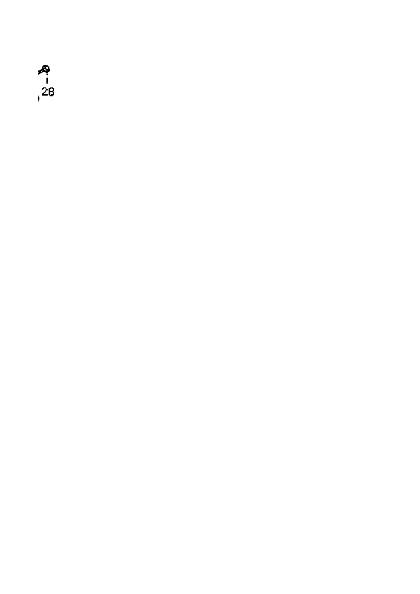